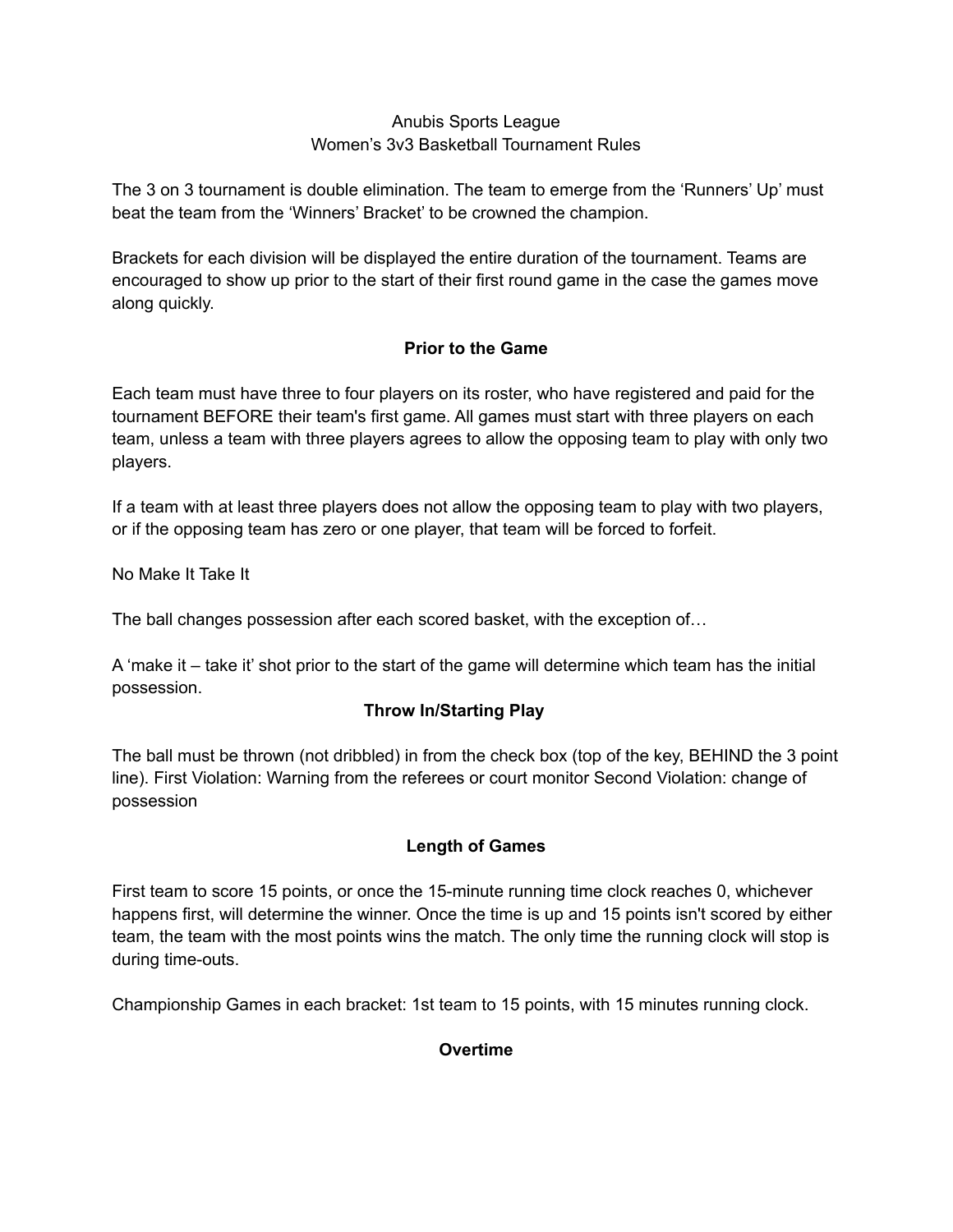### Anubis Sports League Women's 3v3 Basketball Tournament Rules

The 3 on 3 tournament is double elimination. The team to emerge from the 'Runners' Up' must beat the team from the 'Winners' Bracket' to be crowned the champion.

Brackets for each division will be displayed the entire duration of the tournament. Teams are encouraged to show up prior to the start of their first round game in the case the games move along quickly.

## **Prior to the Game**

Each team must have three to four players on its roster, who have registered and paid for the tournament BEFORE their team's first game. All games must start with three players on each team, unless a team with three players agrees to allow the opposing team to play with only two players.

If a team with at least three players does not allow the opposing team to play with two players, or if the opposing team has zero or one player, that team will be forced to forfeit.

No Make It Take It

The ball changes possession after each scored basket, with the exception of…

A 'make it – take it' shot prior to the start of the game will determine which team has the initial possession.

## **Throw In/Starting Play**

The ball must be thrown (not dribbled) in from the check box (top of the key, BEHIND the 3 point line). First Violation: Warning from the referees or court monitor Second Violation: change of possession

## **Length of Games**

First team to score 15 points, or once the 15-minute running time clock reaches 0, whichever happens first, will determine the winner. Once the time is up and 15 points isn't scored by either team, the team with the most points wins the match. The only time the running clock will stop is during time-outs.

Championship Games in each bracket: 1st team to 15 points, with 15 minutes running clock.

## **Overtime**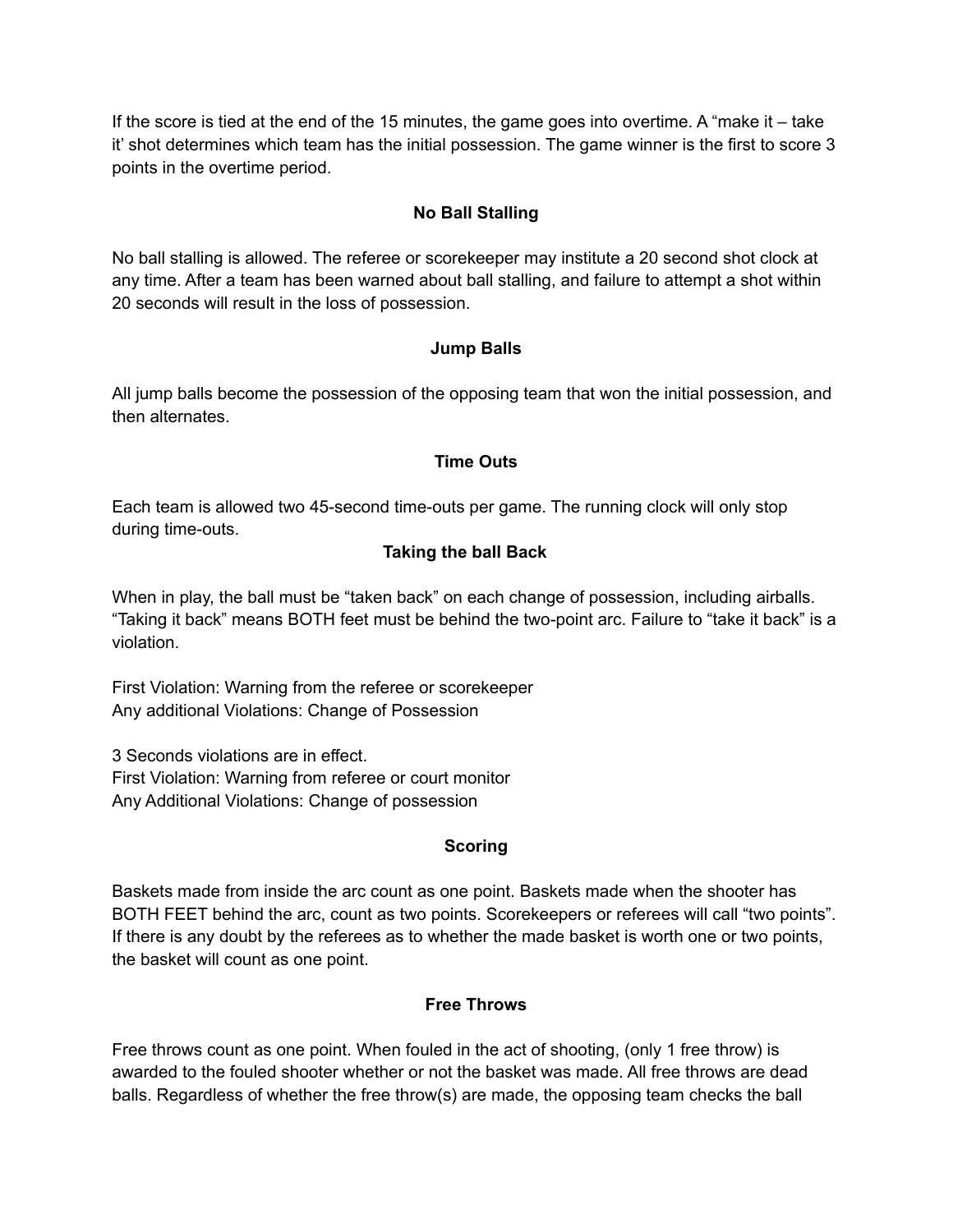If the score is tied at the end of the 15 minutes, the game goes into overtime. A "make it – take it' shot determines which team has the initial possession. The game winner is the first to score 3 points in the overtime period.

## **No Ball Stalling**

No ball stalling is allowed. The referee or scorekeeper may institute a 20 second shot clock at any time. After a team has been warned about ball stalling, and failure to attempt a shot within 20 seconds will result in the loss of possession.

## **Jump Balls**

All jump balls become the possession of the opposing team that won the initial possession, and then alternates.

### **Time Outs**

Each team is allowed two 45-second time-outs per game. The running clock will only stop during time-outs.

### **Taking the ball Back**

When in play, the ball must be "taken back" on each change of possession, including airballs. "Taking it back" means BOTH feet must be behind the two-point arc. Failure to "take it back" is a violation.

First Violation: Warning from the referee or scorekeeper Any additional Violations: Change of Possession

3 Seconds violations are in effect. First Violation: Warning from referee or court monitor Any Additional Violations: Change of possession

## **Scoring**

Baskets made from inside the arc count as one point. Baskets made when the shooter has BOTH FEET behind the arc, count as two points. Scorekeepers or referees will call "two points". If there is any doubt by the referees as to whether the made basket is worth one or two points, the basket will count as one point.

## **Free Throws**

Free throws count as one point. When fouled in the act of shooting, (only 1 free throw) is awarded to the fouled shooter whether or not the basket was made. All free throws are dead balls. Regardless of whether the free throw(s) are made, the opposing team checks the ball